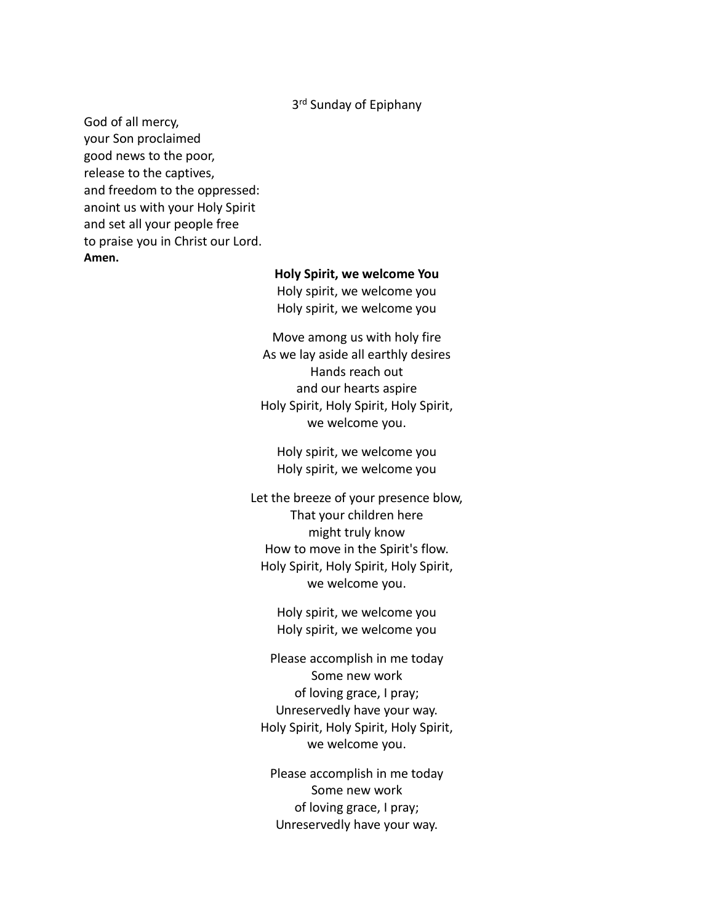## 3<sup>rd</sup> Sunday of Epiphany

God of all mercy, your Son proclaimed good news to the poor, release to the captives, and freedom to the oppressed: anoint us with your Holy Spirit and set all your people free to praise you in Christ our Lord. **Amen.**

#### **Holy Spirit, we welcome You**

Holy spirit, we welcome you Holy spirit, we welcome you

Move among us with holy fire As we lay aside all earthly desires Hands reach out and our hearts aspire Holy Spirit, Holy Spirit, Holy Spirit, we welcome you.

Holy spirit, we welcome you Holy spirit, we welcome you

Let the breeze of your presence blow, That your children here might truly know How to move in the Spirit's flow. Holy Spirit, Holy Spirit, Holy Spirit, we welcome you.

> Holy spirit, we welcome you Holy spirit, we welcome you

Please accomplish in me today Some new work of loving grace, I pray; Unreservedly have your way. Holy Spirit, Holy Spirit, Holy Spirit, we welcome you.

Please accomplish in me today Some new work of loving grace, I pray; Unreservedly have your way.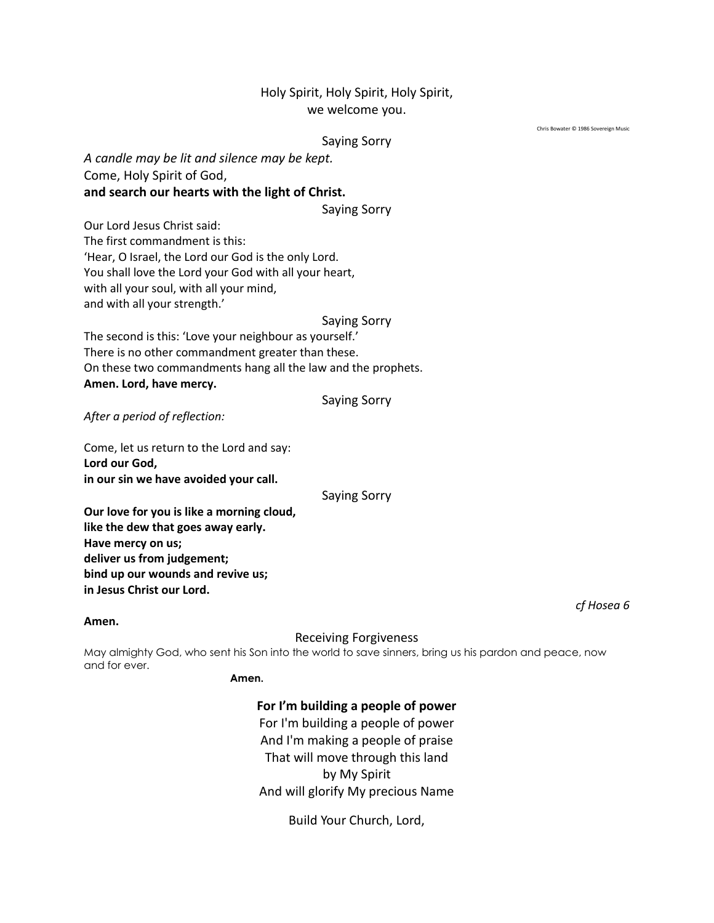## Holy Spirit, Holy Spirit, Holy Spirit, we welcome you.

Saying Sorry

## *A candle may be lit and silence may be kept.* Come, Holy Spirit of God, **and search our hearts with the light of Christ.**

Saying Sorry

Our Lord Jesus Christ said: The first commandment is this: 'Hear, O Israel, the Lord our God is the only Lord. You shall love the Lord your God with all your heart, with all your soul, with all your mind, and with all your strength.'

## Saying Sorry

The second is this: 'Love your neighbour as yourself.' There is no other commandment greater than these. On these two commandments hang all the law and the prophets. **Amen. Lord, have mercy.**

Saying Sorry

*After a period of reflection:*

Come, let us return to the Lord and say: **Lord our God, in our sin we have avoided your call.**

Saying Sorry

**Our love for you is like a morning cloud, like the dew that goes away early. Have mercy on us; deliver us from judgement; bind up our wounds and revive us; in Jesus Christ our Lord.**

## **Amen.**

Receiving Forgiveness

May almighty God, who sent his Son into the world to save sinners, bring us his pardon and peace, now and for ever.

## **Amen.**

**For I'm building a people of power**

For I'm building a people of power And I'm making a people of praise That will move through this land by My Spirit And will glorify My precious Name

Build Your Church, Lord,

Chris Bowater © 1986 Sovereign Music

*cf Hosea 6*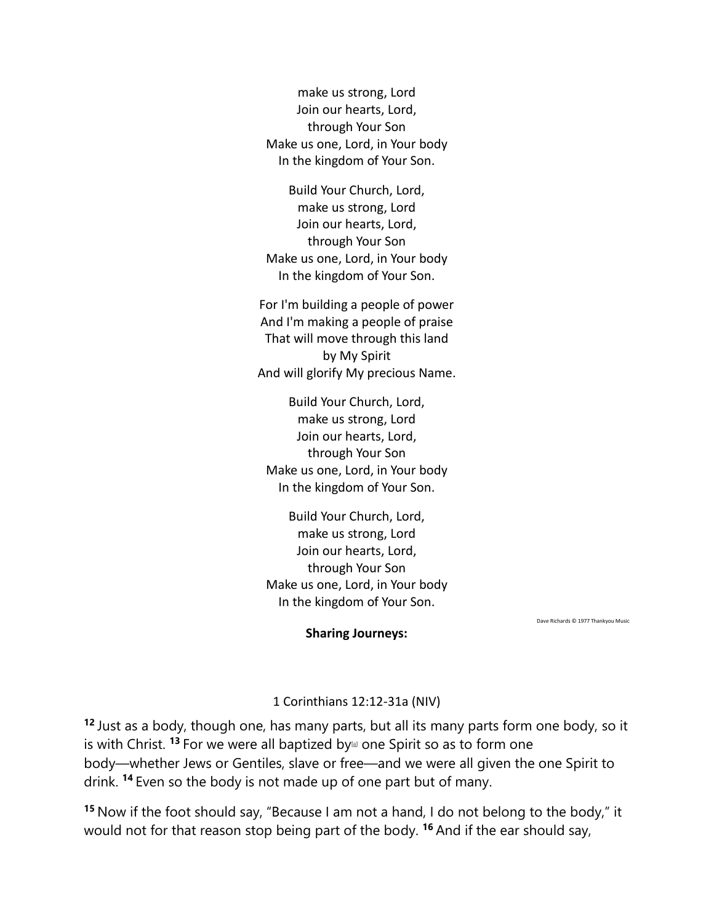make us strong, Lord Join our hearts, Lord, through Your Son Make us one, Lord, in Your body In the kingdom of Your Son.

Build Your Church, Lord, make us strong, Lord Join our hearts, Lord, through Your Son Make us one, Lord, in Your body In the kingdom of Your Son.

For I'm building a people of power And I'm making a people of praise That will move through this land by My Spirit And will glorify My precious Name.

Build Your Church, Lord, make us strong, Lord Join our hearts, Lord, through Your Son Make us one, Lord, in Your body In the kingdom of Your Son.

Build Your Church, Lord, make us strong, Lord Join our hearts, Lord, through Your Son Make us one, Lord, in Your body In the kingdom of Your Son.

Dave Richards © 1977 Thankyou Music

# **Sharing Journeys:**

## 1 Corinthians 12:12-31a (NIV)

**<sup>12</sup>** Just as a body, though one, has many parts, but all its many parts form one body, so it is with Christ. <sup>13</sup> For we were all baptized by<sup>d one Spirit so as to form one</sup> body—whether Jews or Gentiles, slave or free—and we were all given the one Spirit to drink. **<sup>14</sup>** Even so the body is not made up of one part but of many.

**<sup>15</sup>** Now if the foot should say, "Because I am not a hand, I do not belong to the body," it would not for that reason stop being part of the body. **<sup>16</sup>** And if the ear should say,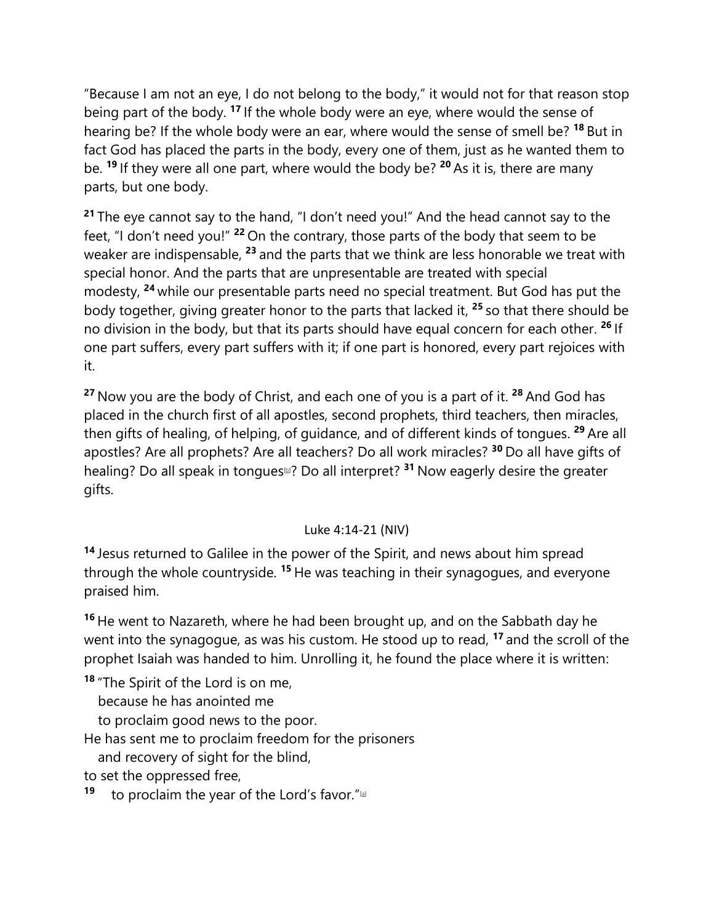"Because I am not an eye, I do not belong to the body," it would not for that reason stop being part of the body. **<sup>17</sup>** If the whole body were an eye, where would the sense of hearing be? If the whole body were an ear, where would the sense of smell be? **<sup>18</sup>** But in fact God has placed the parts in the body, every one of them, just as he wanted them to be. **<sup>19</sup>** If they were all one part, where would the body be? **<sup>20</sup>** As it is, there are many parts, but one body.

**<sup>21</sup>** The eye cannot say to the hand, "I don't need you!" And the head cannot say to the feet, "I don't need you!" **<sup>22</sup>** On the contrary, those parts of the body that seem to be weaker are indispensable, **<sup>23</sup>** and the parts that we think are less honorable we treat with special honor. And the parts that are unpresentable are treated with special modesty, **<sup>24</sup>** while our presentable parts need no special treatment. But God has put the body together, giving greater honor to the parts that lacked it, **<sup>25</sup>** so that there should be no division in the body, but that its parts should have equal concern for each other. **<sup>26</sup>** If one part suffers, every part suffers with it; if one part is honored, every part rejoices with it.

**<sup>27</sup>** Now you are the body of Christ, and each one of you is a part of it. **<sup>28</sup>** And God has placed in the church first of all apostles, second prophets, third teachers, then miracles, then gifts of healing, of helping, of guidance, and of different kinds of tongues. **<sup>29</sup>** Are all apostles? Are all prophets? Are all teachers? Do all work miracles? **<sup>30</sup>** Do all have gifts of healing? Do all speak in tongues<sup>®</sup>? Do all interpret? <sup>31</sup> Now eagerly desire the greater gifts.

# Luke 4:14-21 (NIV)

**<sup>14</sup>** Jesus returned to Galilee in the power of the Spirit, and news about him spread through the whole countryside. **<sup>15</sup>** He was teaching in their synagogues, and everyone praised him.

**<sup>16</sup>** He went to Nazareth, where he had been brought up, and on the Sabbath day he went into the synagogue, as was his custom. He stood up to read, **<sup>17</sup>** and the scroll of the prophet Isaiah was handed to him. Unrolling it, he found the place where it is written:

**<sup>18</sup>** "The Spirit of the Lord is on me,

because he has anointed me

to proclaim good news to the poor.

He has sent me to proclaim freedom for the prisoners

and recovery of sight for the blind,

to set the oppressed free,

19 to proclaim the year of the Lord's favor."<sup>[4]</sup>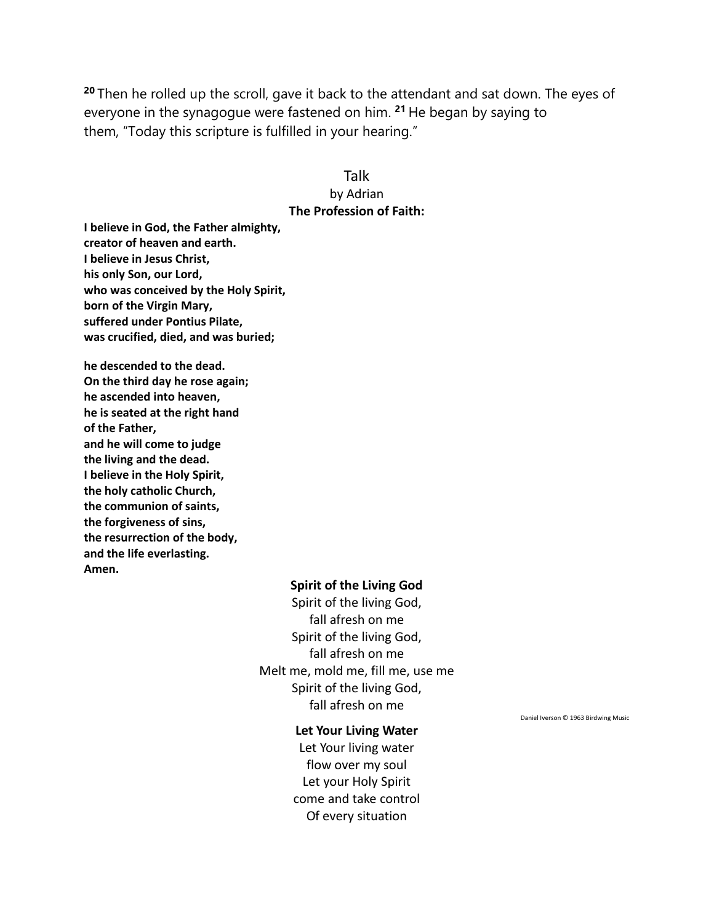**<sup>20</sup>** Then he rolled up the scroll, gave it back to the attendant and sat down. The eyes of everyone in the synagogue were fastened on him. **<sup>21</sup>** He began by saying to them, "Today this scripture is fulfilled in your hearing."

## Talk by Adrian **The Profession of Faith:**

**I believe in God, the Father almighty, creator of heaven and earth. I believe in Jesus Christ, his only Son, our Lord, who was conceived by the Holy Spirit, born of the Virgin Mary, suffered under Pontius Pilate, was crucified, died, and was buried;**

**he descended to the dead. On the third day he rose again; he ascended into heaven, he is seated at the right hand of the Father, and he will come to judge the living and the dead. I believe in the Holy Spirit, the holy catholic Church, the communion of saints, the forgiveness of sins, the resurrection of the body, and the life everlasting. Amen.**

#### **Spirit of the Living God**

Spirit of the living God, fall afresh on me Spirit of the living God, fall afresh on me Melt me, mold me, fill me, use me Spirit of the living God, fall afresh on me

#### **Let Your Living Water**

Let Your living water flow over my soul Let your Holy Spirit come and take control Of every situation

Daniel Iverson © 1963 Birdwing Music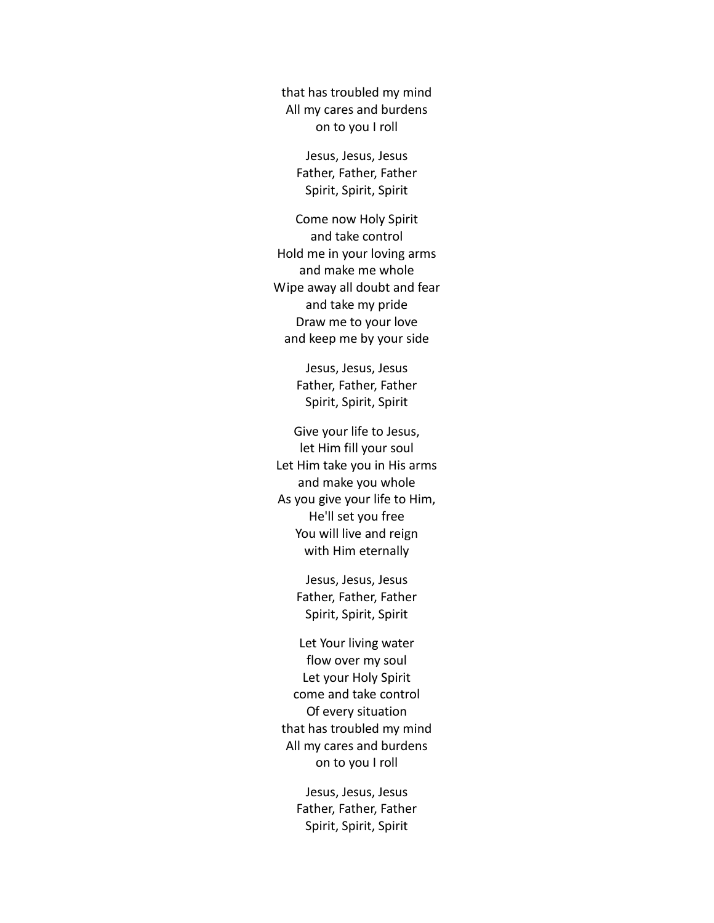that has troubled my mind All my cares and burdens on to you I roll

Jesus, Jesus, Jesus Father, Father, Father Spirit, Spirit, Spirit

Come now Holy Spirit and take control Hold me in your loving arms and make me whole Wipe away all doubt and fear and take my pride Draw me to your love and keep me by your side

> Jesus, Jesus, Jesus Father, Father, Father Spirit, Spirit, Spirit

Give your life to Jesus, let Him fill your soul Let Him take you in His arms and make you whole As you give your life to Him, He'll set you free You will live and reign with Him eternally

> Jesus, Jesus, Jesus Father, Father, Father Spirit, Spirit, Spirit

Let Your living water flow over my soul Let your Holy Spirit come and take control Of every situation that has troubled my mind All my cares and burdens on to you I roll

Jesus, Jesus, Jesus Father, Father, Father Spirit, Spirit, Spirit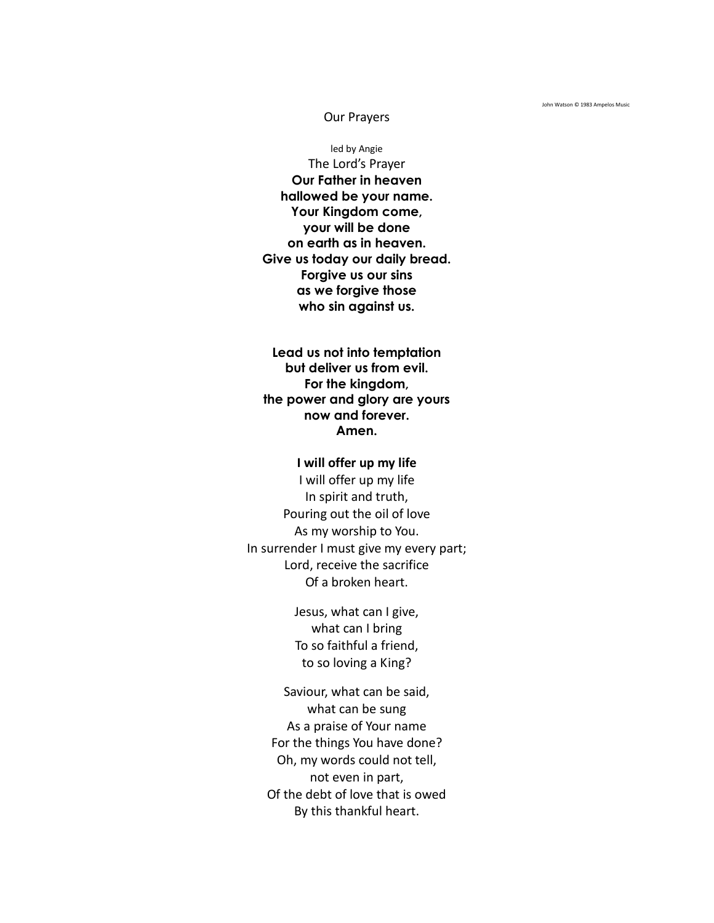John Watson © 1983 Ampelos Music

#### Our Prayers

led by Angie The Lord's Prayer **Our Father in heaven hallowed be your name. Your Kingdom come, your will be done on earth as in heaven. Give us today our daily bread. Forgive us our sins as we forgive those who sin against us.**

**Lead us not into temptation but deliver us from evil. For the kingdom, the power and glory are yours now and forever. Amen.** 

#### **I will offer up my life**

I will offer up my life In spirit and truth, Pouring out the oil of love As my worship to You. In surrender I must give my every part; Lord, receive the sacrifice Of a broken heart.

> Jesus, what can I give, what can I bring To so faithful a friend, to so loving a King?

Saviour, what can be said, what can be sung As a praise of Your name For the things You have done? Oh, my words could not tell, not even in part, Of the debt of love that is owed By this thankful heart.